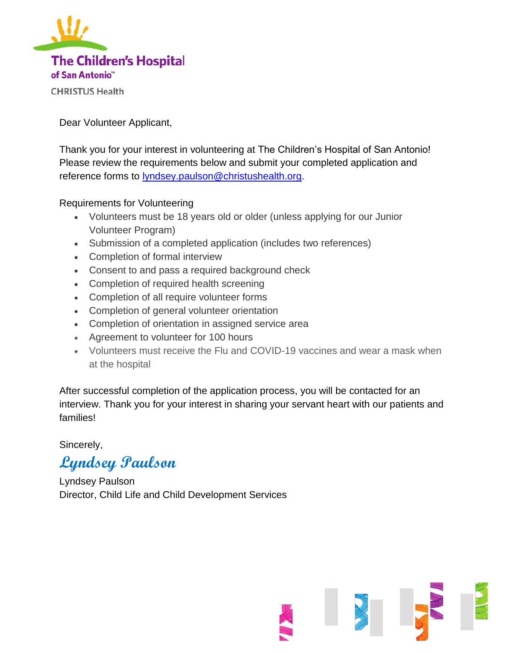

Dear Volunteer Applicant,

Thank you for your interest in volunteering at The Children's Hospital of San Antonio! Please review the requirements below and submit your completed application and reference forms to [lyndsey.paulson@christushealth.org.](mailto:lyndsey.paulson@christushealth.org)

### Requirements for Volunteering

- Volunteers must be 18 years old or older (unless applying for our Junior Volunteer Program)
- Submission of a completed application (includes two references)
- Completion of formal interview
- Consent to and pass a required background check
- Completion of required health screening
- Completion of all require volunteer forms
- Completion of general volunteer orientation
- Completion of orientation in assigned service area
- Agreement to volunteer for 100 hours
- Volunteers must receive the Flu and COVID-19 vaccines and wear a mask when at the hospital

After successful completion of the application process, you will be contacted for an interview. Thank you for your interest in sharing your servant heart with our patients and families!

### Sincerely,

# **Lyndsey Paulson**

Lyndsey Paulson Director, Child Life and Child Development Services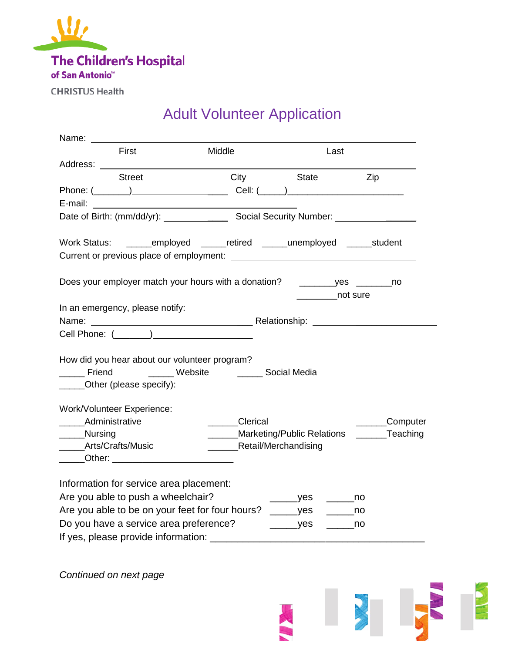

**CHRISTUS Health** 

## Adult Volunteer Application

| Name: __                                                                                                                                                      |                               |                          |                                                  |
|---------------------------------------------------------------------------------------------------------------------------------------------------------------|-------------------------------|--------------------------|--------------------------------------------------|
| First                                                                                                                                                         | Middle                        | Last                     |                                                  |
|                                                                                                                                                               |                               |                          |                                                  |
| <b>Street</b>                                                                                                                                                 | City                          | State                    | Zip                                              |
|                                                                                                                                                               |                               |                          |                                                  |
|                                                                                                                                                               |                               |                          |                                                  |
|                                                                                                                                                               |                               |                          |                                                  |
| Work Status: ______employed _____retired _____unemployed _____student<br>Current or previous place of employment:<br>Current or previous place of employment: |                               |                          |                                                  |
|                                                                                                                                                               |                               | not sure                 |                                                  |
| In an emergency, please notify:                                                                                                                               |                               |                          |                                                  |
|                                                                                                                                                               |                               |                          |                                                  |
|                                                                                                                                                               |                               |                          |                                                  |
|                                                                                                                                                               |                               |                          |                                                  |
| How did you hear about our volunteer program?                                                                                                                 |                               |                          |                                                  |
| Friend<br><b>Example 3 Website</b>                                                                                                                            | <b>Example 2</b> Social Media |                          |                                                  |
|                                                                                                                                                               |                               |                          |                                                  |
| Work/Volunteer Experience:                                                                                                                                    |                               |                          |                                                  |
| Administrative                                                                                                                                                | <b>Clerical</b>               |                          | _______Computer                                  |
| _____Nursing                                                                                                                                                  |                               |                          | ______Marketing/Public Relations _______Teaching |
| ____Arts/Crafts/Music                                                                                                                                         | ________Retail/Merchandising  |                          |                                                  |
| ______Other: ____________________________                                                                                                                     |                               |                          |                                                  |
| Information for service area placement:                                                                                                                       |                               |                          |                                                  |
| Are you able to push a wheelchair?                                                                                                                            |                               | $\rule{1em}{0.15mm}$ yes | a a mo                                           |
| Are you able to be on your feet for four hours? ______yes                                                                                                     |                               |                          | $\rule{1em}{0.15mm}$ no                          |
| Do you have a service area preference?                                                                                                                        |                               | $\rule{1em}{0.15mm}$ yes |                                                  |
|                                                                                                                                                               |                               |                          |                                                  |

NEW REPORT

*Continued on next page*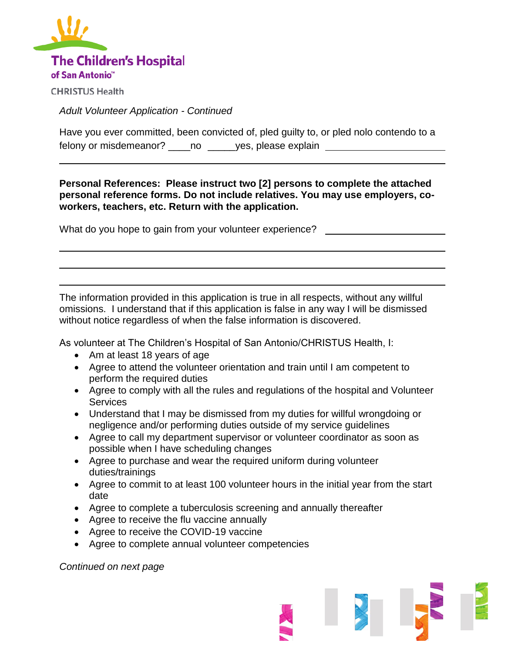

**CHRISTUS Health** 

l

*Adult Volunteer Application - Continued*

Have you ever committed, been convicted of, pled guilty to, or pled nolo contendo to a felony or misdemeanor? \_\_\_\_no \_\_\_\_\_yes, please explain \_\_\_\_\_\_\_\_\_\_\_\_\_\_\_\_\_\_\_\_\_\_\_\_\_

**Personal References: Please instruct two [2] persons to complete the attached personal reference forms. Do not include relatives. You may use employers, coworkers, teachers, etc. Return with the application.**

What do you hope to gain from your volunteer experience?

The information provided in this application is true in all respects, without any willful omissions. I understand that if this application is false in any way I will be dismissed without notice regardless of when the false information is discovered.

As volunteer at The Children's Hospital of San Antonio/CHRISTUS Health, I:

- Am at least 18 years of age
- Agree to attend the volunteer orientation and train until I am competent to perform the required duties
- Agree to comply with all the rules and regulations of the hospital and Volunteer Services
- Understand that I may be dismissed from my duties for willful wrongdoing or negligence and/or performing duties outside of my service guidelines
- Agree to call my department supervisor or volunteer coordinator as soon as possible when I have scheduling changes
- Agree to purchase and wear the required uniform during volunteer duties/trainings
- Agree to commit to at least 100 volunteer hours in the initial year from the start date
- Agree to complete a tuberculosis screening and annually thereafter
- Agree to receive the flu vaccine annually
- Agree to receive the COVID-19 vaccine
- Agree to complete annual volunteer competencies

*Continued on next page*